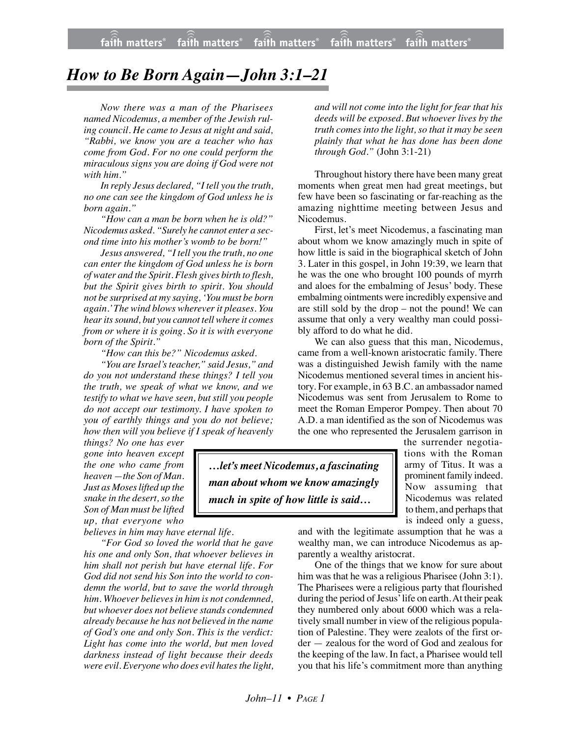## *How to Be Born Again—John 3:1–21*

*Now there was a man of the Pharisees named Nicodemus, a member of the Jewish ruling council. He came to Jesus at night and said, "Rabbi, we know you are a teacher who has come from God. For no one could perform the miraculous signs you are doing if God were not with him."*

*In reply Jesus declared, "I tell you the truth, no one can see the kingdom of God unless he is born again."*

*"How can a man be born when he is old?" Nicodemus asked. "Surely he cannot enter a second time into his mother's womb to be born!"*

*Jesus answered, "I tell you the truth, no one can enter the kingdom of God unless he is born of water and the Spirit. Flesh gives birth to flesh, but the Spirit gives birth to spirit. You should not be surprised at my saying, 'You must be born again.' The wind blows wherever it pleases. You hear its sound, but you cannot tell where it comes from or where it is going. So it is with everyone born of the Spirit."*

*"How can this be?" Nicodemus asked.*

*"You are Israel's teacher," said Jesus," and do you not understand these things? I tell you the truth, we speak of what we know, and we testify to what we have seen, but still you people do not accept our testimony. I have spoken to you of earthly things and you do not believe; how then will you believe if I speak of heavenly*

*things? No one has ever gone into heaven except the one who came from heaven —the Son of Man. Just as Moses lifted up the snake in the desert,so the Son of Man must be lifted up, that everyone who*

*believes in him may have eternal life.*

*"For God so loved the world that he gave his one and only Son, that whoever believes in him shall not perish but have eternal life. For God did not send his Son into the world to condemn the world, but to save the world through him. Whoever believes in him is not condemned, but whoever does not believe stands condemned already because he has not believed in the name of God's one and only Son. This is the verdict: Light has come into the world, but men loved darkness instead of light because their deeds were evil. Everyone who does evil hates the light,* *and will not come into the light for fear that his deeds will be exposed. But whoever lives by the truth comes into the light, so that it may be seen plainly that what he has done has been done through God."* (John 3:1-21)

Throughout history there have been many great moments when great men had great meetings, but few have been so fascinating or far-reaching as the amazing nighttime meeting between Jesus and Nicodemus.

First, let's meet Nicodemus, a fascinating man about whom we know amazingly much in spite of how little is said in the biographical sketch of John 3. Later in this gospel, in John 19:39, we learn that he was the one who brought 100 pounds of myrrh and aloes for the embalming of Jesus' body. These embalming ointments were incredibly expensive and are still sold by the drop – not the pound! We can assume that only a very wealthy man could possibly afford to do what he did.

We can also guess that this man, Nicodemus, came from a well-known aristocratic family. There was a distinguished Jewish family with the name Nicodemus mentioned several times in ancient history. For example, in 63 B.C. an ambassador named Nicodemus was sent from Jerusalem to Rome to meet the Roman Emperor Pompey. Then about 70 A.D. a man identified as the son of Nicodemus was the one who represented the Jerusalem garrison in

*…let's meet Nicodemus, a fascinating man about whom we know amazingly much in spite of how little is said…*

the surrender negotiations with the Roman army of Titus. It was a prominent family indeed. Now assuming that Nicodemus was related to them, and perhaps that is indeed only a guess,

and with the legitimate assumption that he was a wealthy man, we can introduce Nicodemus as apparently a wealthy aristocrat.

One of the things that we know for sure about him was that he was a religious Pharisee (John 3:1). The Pharisees were a religious party that flourished during the period of Jesus' life on earth. At their peak they numbered only about 6000 which was a relatively small number in view of the religious population of Palestine. They were zealots of the first order — zealous for the word of God and zealous for the keeping of the law. In fact, a Pharisee would tell you that his life's commitment more than anything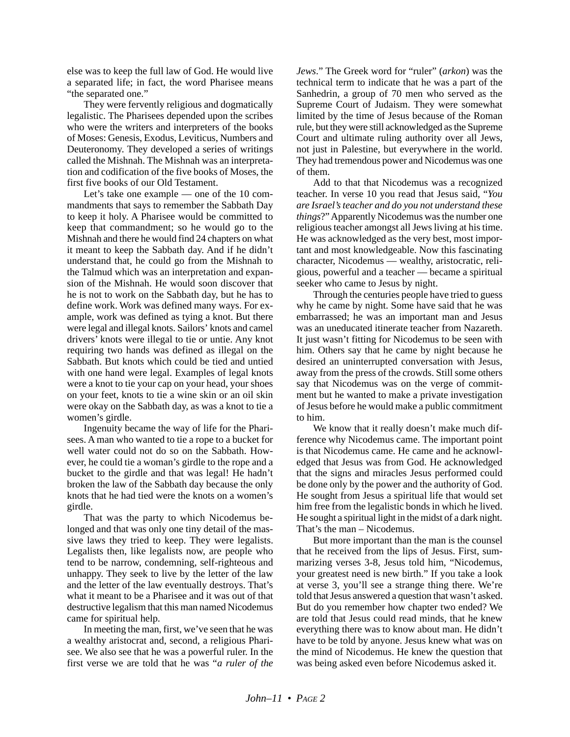else was to keep the full law of God. He would live a separated life; in fact, the word Pharisee means "the separated one."

They were fervently religious and dogmatically legalistic. The Pharisees depended upon the scribes who were the writers and interpreters of the books of Moses: Genesis, Exodus, Leviticus, Numbers and Deuteronomy. They developed a series of writings called the Mishnah. The Mishnah was an interpretation and codification of the five books of Moses, the first five books of our Old Testament.

Let's take one example — one of the 10 commandments that says to remember the Sabbath Day to keep it holy. A Pharisee would be committed to keep that commandment; so he would go to the Mishnah and there he would find 24 chapters on what it meant to keep the Sabbath day. And if he didn't understand that, he could go from the Mishnah to the Talmud which was an interpretation and expansion of the Mishnah. He would soon discover that he is not to work on the Sabbath day, but he has to define work. Work was defined many ways. For example, work was defined as tying a knot. But there were legal and illegal knots. Sailors' knots and camel drivers' knots were illegal to tie or untie. Any knot requiring two hands was defined as illegal on the Sabbath. But knots which could be tied and untied with one hand were legal. Examples of legal knots were a knot to tie your cap on your head, your shoes on your feet, knots to tie a wine skin or an oil skin were okay on the Sabbath day, as was a knot to tie a women's girdle.

Ingenuity became the way of life for the Pharisees. A man who wanted to tie a rope to a bucket for well water could not do so on the Sabbath. However, he could tie a woman's girdle to the rope and a bucket to the girdle and that was legal! He hadn't broken the law of the Sabbath day because the only knots that he had tied were the knots on a women's girdle.

That was the party to which Nicodemus belonged and that was only one tiny detail of the massive laws they tried to keep. They were legalists. Legalists then, like legalists now, are people who tend to be narrow, condemning, self-righteous and unhappy. They seek to live by the letter of the law and the letter of the law eventually destroys. That's what it meant to be a Pharisee and it was out of that destructive legalism that this man named Nicodemus came for spiritual help.

In meeting the man, first, we've seen that he was a wealthy aristocrat and, second, a religious Pharisee. We also see that he was a powerful ruler. In the first verse we are told that he was "*a ruler of the* *Jews*." The Greek word for "ruler" (*arkon*) was the technical term to indicate that he was a part of the Sanhedrin, a group of 70 men who served as the Supreme Court of Judaism. They were somewhat limited by the time of Jesus because of the Roman rule, but they were still acknowledged as the Supreme Court and ultimate ruling authority over all Jews, not just in Palestine, but everywhere in the world. They had tremendous power and Nicodemus was one of them.

Add to that that Nicodemus was a recognized teacher. In verse 10 you read that Jesus said, "*You are Israel's teacher and do you not understand these things*?" Apparently Nicodemus was the number one religious teacher amongst all Jews living at his time. He was acknowledged as the very best, most important and most knowledgeable. Now this fascinating character, Nicodemus — wealthy, aristocratic, religious, powerful and a teacher — became a spiritual seeker who came to Jesus by night.

Through the centuries people have tried to guess why he came by night. Some have said that he was embarrassed; he was an important man and Jesus was an uneducated itinerate teacher from Nazareth. It just wasn't fitting for Nicodemus to be seen with him. Others say that he came by night because he desired an uninterrupted conversation with Jesus, away from the press of the crowds. Still some others say that Nicodemus was on the verge of commitment but he wanted to make a private investigation of Jesus before he would make a public commitment to him.

We know that it really doesn't make much difference why Nicodemus came. The important point is that Nicodemus came. He came and he acknowledged that Jesus was from God. He acknowledged that the signs and miracles Jesus performed could be done only by the power and the authority of God. He sought from Jesus a spiritual life that would set him free from the legalistic bonds in which he lived. He sought a spiritual light in the midst of a dark night. That's the man – Nicodemus.

But more important than the man is the counsel that he received from the lips of Jesus. First, summarizing verses 3-8, Jesus told him, "Nicodemus, your greatest need is new birth." If you take a look at verse 3, you'll see a strange thing there. We're told that Jesus answered a question that wasn't asked. But do you remember how chapter two ended? We are told that Jesus could read minds, that he knew everything there was to know about man. He didn't have to be told by anyone. Jesus knew what was on the mind of Nicodemus. He knew the question that was being asked even before Nicodemus asked it.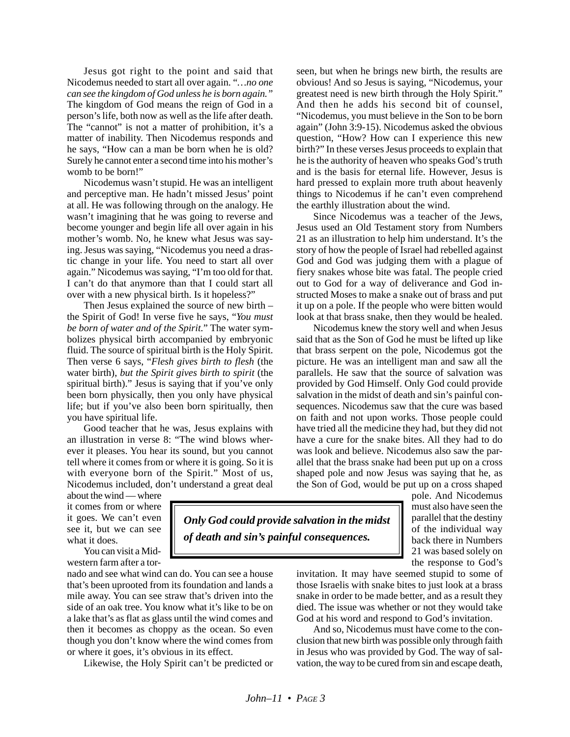Jesus got right to the point and said that Nicodemus needed to start all over again. "*…no one can see the kingdom of God unless he is born again."* The kingdom of God means the reign of God in a person's life, both now as well as the life after death. The "cannot" is not a matter of prohibition, it's a matter of inability. Then Nicodemus responds and he says, "How can a man be born when he is old? Surely he cannot enter a second time into his mother's womb to be born!"

Nicodemus wasn't stupid. He was an intelligent and perceptive man. He hadn't missed Jesus' point at all. He was following through on the analogy. He wasn't imagining that he was going to reverse and become younger and begin life all over again in his mother's womb. No, he knew what Jesus was saying. Jesus was saying, "Nicodemus you need a drastic change in your life. You need to start all over again." Nicodemus was saying, "I'm too old for that. I can't do that anymore than that I could start all over with a new physical birth. Is it hopeless?"

Then Jesus explained the source of new birth – the Spirit of God! In verse five he says, "*You must be born of water and of the Spirit.*" The water symbolizes physical birth accompanied by embryonic fluid. The source of spiritual birth is the Holy Spirit. Then verse 6 says, "*Flesh gives birth to flesh* (the water birth), *but the Spirit gives birth to spirit* (the spiritual birth)." Jesus is saying that if you've only been born physically, then you only have physical life; but if you've also been born spiritually, then you have spiritual life.

Good teacher that he was, Jesus explains with an illustration in verse 8: "The wind blows wherever it pleases. You hear its sound, but you cannot tell where it comes from or where it is going. So it is with everyone born of the Spirit." Most of us, Nicodemus included, don't understand a great deal

about the wind — where it comes from or where it goes. We can't even see it, but we can see what it does.

You can visit a Midwestern farm after a tor-

nado and see what wind can do. You can see a house that's been uprooted from its foundation and lands a mile away. You can see straw that's driven into the side of an oak tree. You know what it's like to be on a lake that's as flat as glass until the wind comes and then it becomes as choppy as the ocean. So even though you don't know where the wind comes from or where it goes, it's obvious in its effect.

Likewise, the Holy Spirit can't be predicted or

seen, but when he brings new birth, the results are obvious! And so Jesus is saying, "Nicodemus, your greatest need is new birth through the Holy Spirit." And then he adds his second bit of counsel, "Nicodemus, you must believe in the Son to be born again" (John 3:9-15). Nicodemus asked the obvious question, "How? How can I experience this new birth?" In these verses Jesus proceeds to explain that he is the authority of heaven who speaks God's truth and is the basis for eternal life. However, Jesus is hard pressed to explain more truth about heavenly things to Nicodemus if he can't even comprehend the earthly illustration about the wind.

Since Nicodemus was a teacher of the Jews, Jesus used an Old Testament story from Numbers 21 as an illustration to help him understand. It's the story of how the people of Israel had rebelled against God and God was judging them with a plague of fiery snakes whose bite was fatal. The people cried out to God for a way of deliverance and God instructed Moses to make a snake out of brass and put it up on a pole. If the people who were bitten would look at that brass snake, then they would be healed.

Nicodemus knew the story well and when Jesus said that as the Son of God he must be lifted up like that brass serpent on the pole, Nicodemus got the picture. He was an intelligent man and saw all the parallels. He saw that the source of salvation was provided by God Himself. Only God could provide salvation in the midst of death and sin's painful consequences. Nicodemus saw that the cure was based on faith and not upon works. Those people could have tried all the medicine they had, but they did not have a cure for the snake bites. All they had to do was look and believe. Nicodemus also saw the parallel that the brass snake had been put up on a cross shaped pole and now Jesus was saying that he, as the Son of God, would be put up on a cross shaped

pole. And Nicodemus must also have seen the parallel that the destiny of the individual way back there in Numbers 21 was based solely on the response to God's

invitation. It may have seemed stupid to some of those Israelis with snake bites to just look at a brass snake in order to be made better, and as a result they died. The issue was whether or not they would take God at his word and respond to God's invitation.

And so, Nicodemus must have come to the conclusion that new birth was possible only through faith in Jesus who was provided by God. The way of salvation, the way to be cured from sin and escape death,

*John–11 • PAGE 3*

*Only God could provide salvation in the midst*

*of death and sin's painful consequences.*